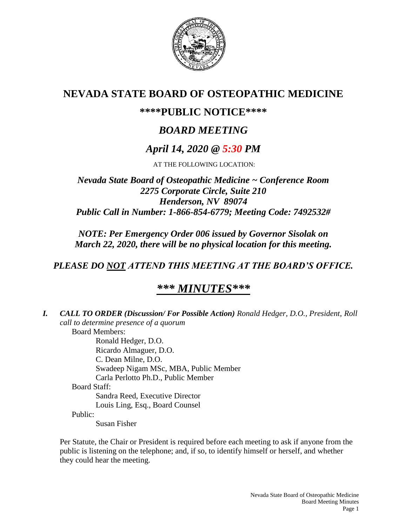

# **NEVADA STATE BOARD OF OSTEOPATHIC MEDICINE**

# **\*\*\*\*PUBLIC NOTICE\*\*\*\***

# *BOARD MEETING*

# *April 14, 2020 @ 5:30 PM*

AT THE FOLLOWING LOCATION:

*Nevada State Board of Osteopathic Medicine ~ Conference Room 2275 Corporate Circle, Suite 210 Henderson, NV 89074 Public Call in Number: 1-866-854-6779; Meeting Code: 7492532#*

*NOTE: Per Emergency Order 006 issued by Governor Sisolak on March 22, 2020, there will be no physical location for this meeting.*

*PLEASE DO NOT ATTEND THIS MEETING AT THE BOARD'S OFFICE.*

# *\*\*\* MINUTES\*\*\**

| I. | <b>CALL TO ORDER (Discussion/For Possible Action) Ronald Hedger, D.O., President, Roll</b> |
|----|--------------------------------------------------------------------------------------------|
|    | call to determine presence of a quorum                                                     |
|    | <b>Board Members:</b>                                                                      |
|    | Ronald Hedger, D.O.                                                                        |
|    | Ricardo Almaguer, D.O.                                                                     |
|    | C. Dean Milne, D.O.                                                                        |
|    | Swadeep Nigam MSc, MBA, Public Member                                                      |
|    | Carla Perlotto Ph.D., Public Member                                                        |
|    | <b>Board Staff:</b>                                                                        |
|    | Sandra Reed, Executive Director                                                            |
|    | Louis Ling, Esq., Board Counsel                                                            |
|    | Public:                                                                                    |
|    | Susan Fisher                                                                               |

Per Statute, the Chair or President is required before each meeting to ask if anyone from the public is listening on the telephone; and, if so, to identify himself or herself, and whether they could hear the meeting.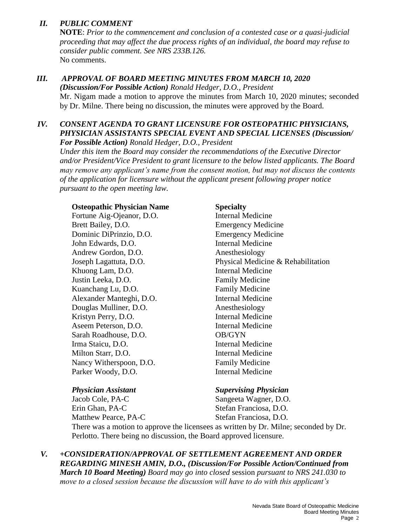## *II. PUBLIC COMMENT*

**NOTE**: *Prior to the commencement and conclusion of a contested case or a quasi-judicial proceeding that may affect the due process rights of an individual, the board may refuse to consider public comment. See NRS 233B.126.* No comments.

## *III. APPROVAL OF BOARD MEETING MINUTES FROM MARCH 10, 2020*

*(Discussion/For Possible Action) Ronald Hedger, D.O., President* Mr. Nigam made a motion to approve the minutes from March 10, 2020 minutes; seconded by Dr. Milne. There being no discussion, the minutes were approved by the Board.

### *IV. CONSENT AGENDA TO GRANT LICENSURE FOR OSTEOPATHIC PHYSICIANS, PHYSICIAN ASSISTANTS SPECIAL EVENT AND SPECIAL LICENSES (Discussion/ For Possible Action) Ronald Hedger, D.O., President*

*Under this item the Board may consider the recommendations of the Executive Director and/or President/Vice President to grant licensure to the below listed applicants. The Board may remove any applicant's name from the consent motion, but may not discuss the contents of the application for licensure without the applicant present following proper notice pursuant to the open meeting law.*

### **Osteopathic Physician Name Specialty**

Fortune Aig-Ojeanor, D.O. Internal Medicine Brett Bailey, D.O. Emergency Medicine Dominic DiPrinzio, D.O. Emergency Medicine John Edwards, D.O. Internal Medicine Andrew Gordon, D.O. Anesthesiology Khuong Lam, D.O. Internal Medicine Justin Leeka, D.O. **Family Medicine** Kuanchang Lu, D.O. **Family Medicine** Alexander Manteghi, D.O. Internal Medicine Douglas Mulliner, D.O. Anesthesiology Kristyn Perry, D.O. **Internal Medicine** Aseem Peterson, D.O. Internal Medicine Sarah Roadhouse, D.O. **OB/GYN** Irma Staicu, D.O. **Internal Medicine** Milton Starr, D.O. **Internal Medicine** Nancy Witherspoon, D.O. Family Medicine Parker Woody, D.O. **Internal Medicine** 

Joseph Lagattuta, D.O. Physical Medicine & Rehabilitation

### *Physician Assistant Supervising Physician*

Jacob Cole, PA-C Sangeeta Wagner, D.O. Erin Ghan, PA-C Stefan Franciosa, D.O. Matthew Pearce, PA-C Stefan Franciosa, D.O.

There was a motion to approve the licensees as written by Dr. Milne; seconded by Dr. Perlotto. There being no discussion, the Board approved licensure.

*V. +CONSIDERATION/APPROVAL OF SETTLEMENT AGREEMENT AND ORDER REGARDING MINESH AMIN, D.O., (Discussion/For Possible Action/Continued from March 10 Board Meeting) Board may go into closed* session *pursuant to NRS 241.030 to move to a closed session because the discussion will have to do with this applicant's*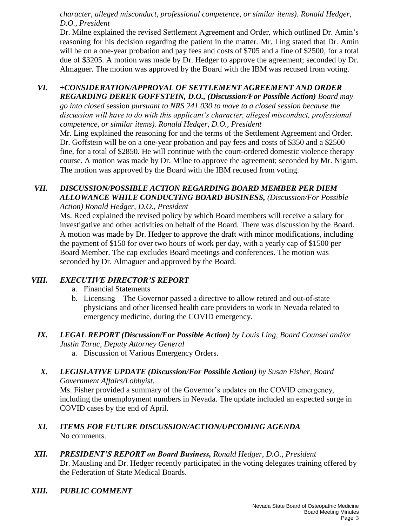*character, alleged misconduct, professional competence, or similar items). Ronald Hedger, D.O., President*

Dr. Milne explained the revised Settlement Agreement and Order, which outlined Dr. Amin's reasoning for his decision regarding the patient in the matter. Mr. Ling stated that Dr. Amin will be on a one-year probation and pay fees and costs of \$705 and a fine of \$2500, for a total due of \$3205. A motion was made by Dr. Hedger to approve the agreement; seconded by Dr. Almaguer. The motion was approved by the Board with the IBM was recused from voting.

### *VI. +CONSIDERATION/APPROVAL OF SETTLEMENT AGREEMENT AND ORDER REGARDING DEREK GOFFSTEIN, D.O., (Discussion/For Possible Action) Board may*

*go into closed* session *pursuant to NRS 241.030 to move to a closed session because the discussion will have to do with this applicant's character, alleged misconduct, professional competence, or similar items). Ronald Hedger, D.O., President*

Mr. Ling explained the reasoning for and the terms of the Settlement Agreement and Order. Dr. Goffstein will be on a one-year probation and pay fees and costs of \$350 and a \$2500 fine, for a total of \$2850. He will continue with the court-ordered domestic violence therapy course. A motion was made by Dr. Milne to approve the agreement; seconded by Mr. Nigam. The motion was approved by the Board with the IBM recused from voting.

### *VII. DISCUSSION/POSSIBLE ACTION REGARDING BOARD MEMBER PER DIEM ALLOWANCE WHILE CONDUCTING BOARD BUSINESS, (Discussion/For Possible Action) Ronald Hedger, D.O., President*

Ms. Reed explained the revised policy by which Board members will receive a salary for investigative and other activities on behalf of the Board. There was discussion by the Board. A motion was made by Dr. Hedger to approve the draft with minor modifications, including the payment of \$150 for over two hours of work per day, with a yearly cap of \$1500 per Board Member. The cap excludes Board meetings and conferences. The motion was seconded by Dr. Almaguer and approved by the Board.

## *VIII. EXECUTIVE DIRECTOR'S REPORT*

- a. Financial Statements
- b. Licensing The Governor passed a directive to allow retired and out-of-state physicians and other licensed health care providers to work in Nevada related to emergency medicine, during the COVID emergency.

## *IX. LEGAL REPORT (Discussion/For Possible Action) by Louis Ling, Board Counsel and/or Justin Taruc, Deputy Attorney General*

a. Discussion of Various Emergency Orders.

## *X. LEGISLATIVE UPDATE (Discussion/For Possible Action) by Susan Fisher, Board Government Affairs/Lobbyist*.

Ms. Fisher provided a summary of the Governor's updates on the COVID emergency, including the unemployment numbers in Nevada. The update included an expected surge in COVID cases by the end of April.

### *XI. ITEMS FOR FUTURE DISCUSSION/ACTION/UPCOMING AGENDA* No comments.

- *XII. PRESIDENT'S REPORT on Board Business, Ronald Hedger, D.O., President* Dr. Mausling and Dr. Hedger recently participated in the voting delegates training offered by the Federation of State Medical Boards.
- *XIII. PUBLIC COMMENT*